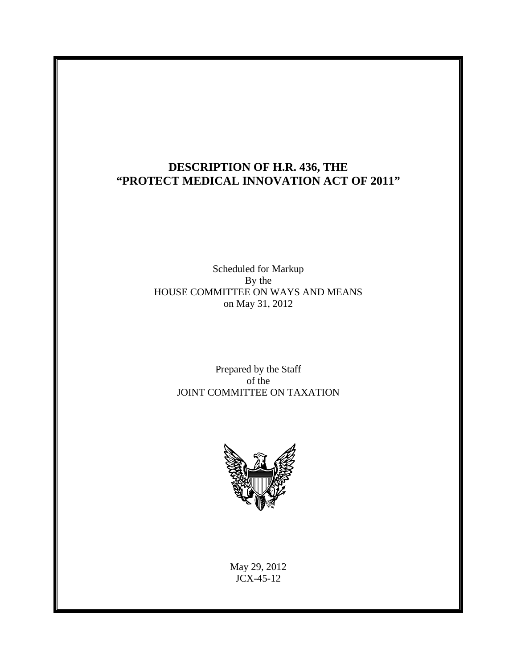## **DESCRIPTION OF H.R. 436, THE "PROTECT MEDICAL INNOVATION ACT OF 2011"**

Scheduled for Markup By the HOUSE COMMITTEE ON WAYS AND MEANS on May 31, 2012

> Prepared by the Staff of the JOINT COMMITTEE ON TAXATION



May 29, 2012 JCX-45-12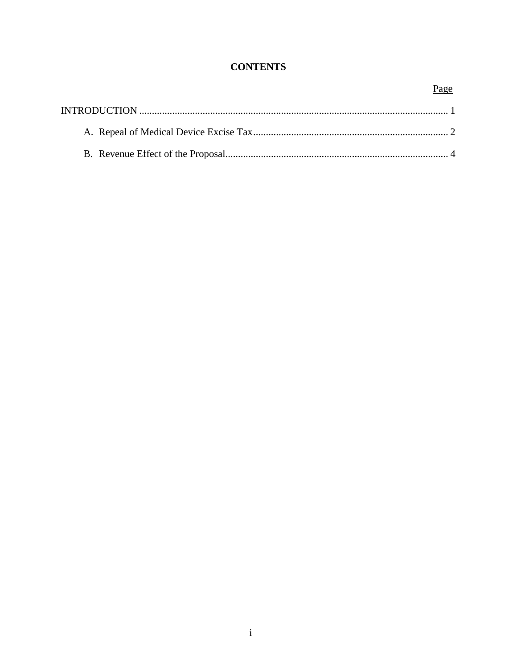## **CONTENTS**

### Page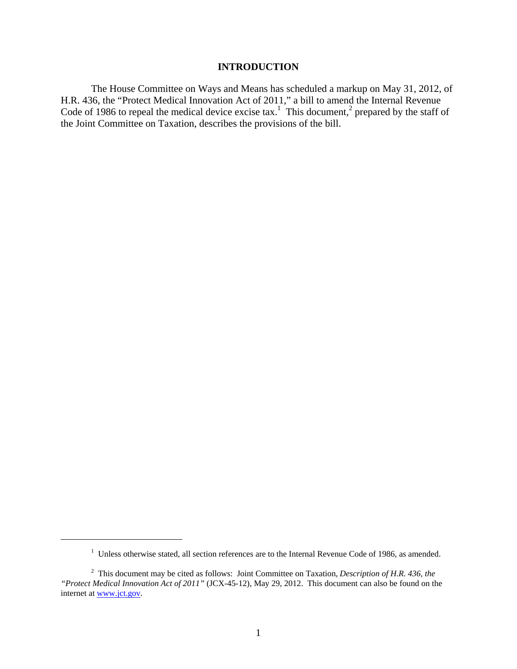#### **INTRODUCTION**

The House Committee on Ways and Means has scheduled a markup on May 31, 2012, of H.R. 436, the "Protect Medical Innovation Act of 2011," a bill to amend the Internal Revenue Code of 1986 to repeal the medical device excise tax.<sup>1</sup> This document,<sup>2</sup> prepared by the staff of the Joint Committee on Taxation, describes the provisions of the bill.

<u>.</u>

<sup>&</sup>lt;sup>1</sup> Unless otherwise stated, all section references are to the Internal Revenue Code of 1986, as amended.

<sup>2</sup> This document may be cited as follows: Joint Committee on Taxation, *Description of H.R. 436, the "Protect Medical Innovation Act of 2011"* (JCX-45-12), May 29, 2012. This document can also be found on the internet at www.jct.gov.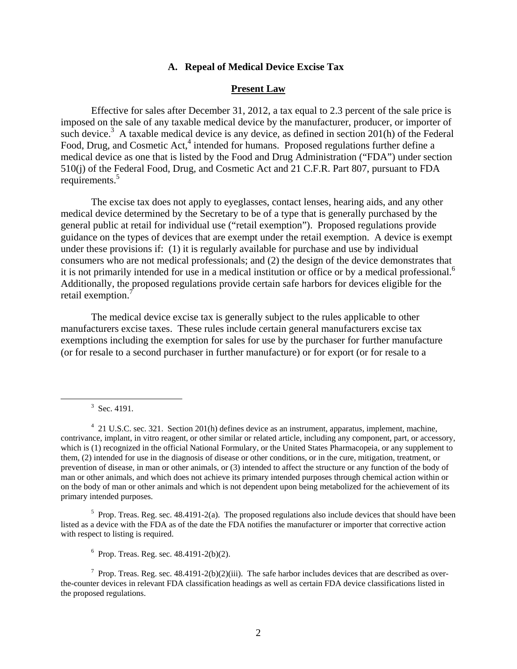#### **A. Repeal of Medical Device Excise Tax**

#### **Present Law**

Effective for sales after December 31, 2012, a tax equal to 2.3 percent of the sale price is imposed on the sale of any taxable medical device by the manufacturer, producer, or importer of such device.<sup>3</sup> A taxable medical device is any device, as defined in section 201(h) of the Federal Food, Drug, and Cosmetic Act,<sup>4</sup> intended for humans. Proposed regulations further define a medical device as one that is listed by the Food and Drug Administration ("FDA") under section 510(j) of the Federal Food, Drug, and Cosmetic Act and 21 C.F.R. Part 807, pursuant to FDA requirements.<sup>5</sup>

The excise tax does not apply to eyeglasses, contact lenses, hearing aids, and any other medical device determined by the Secretary to be of a type that is generally purchased by the general public at retail for individual use ("retail exemption"). Proposed regulations provide guidance on the types of devices that are exempt under the retail exemption. A device is exempt under these provisions if: (1) it is regularly available for purchase and use by individual consumers who are not medical professionals; and (2) the design of the device demonstrates that it is not primarily intended for use in a medical institution or office or by a medical professional.<sup>6</sup> Additionally, the proposed regulations provide certain safe harbors for devices eligible for the retail exemption.<sup>7</sup>

The medical device excise tax is generally subject to the rules applicable to other manufacturers excise taxes. These rules include certain general manufacturers excise tax exemptions including the exemption for sales for use by the purchaser for further manufacture (or for resale to a second purchaser in further manufacture) or for export (or for resale to a

<sup>5</sup> Prop. Treas. Reg. sec. 48.4191-2(a). The proposed regulations also include devices that should have been listed as a device with the FDA as of the date the FDA notifies the manufacturer or importer that corrective action with respect to listing is required.

 $6$  Prop. Treas. Reg. sec.  $48.4191 - 2(b)(2)$ .

<sup>7</sup> Prop. Treas. Reg. sec.  $48.4191-2(b)(2)(iii)$ . The safe harbor includes devices that are described as overthe-counter devices in relevant FDA classification headings as well as certain FDA device classifications listed in the proposed regulations.

 <sup>3</sup>  $3$  Sec. 4191.

<sup>&</sup>lt;sup>4</sup> 21 U.S.C. sec. 321. Section 201(h) defines device as an instrument, apparatus, implement, machine, contrivance, implant, in vitro reagent, or other similar or related article, including any component, part, or accessory, which is (1) recognized in the official National Formulary, or the United States Pharmacopeia, or any supplement to them, (2) intended for use in the diagnosis of disease or other conditions, or in the cure, mitigation, treatment, or prevention of disease, in man or other animals, or (3) intended to affect the structure or any function of the body of man or other animals, and which does not achieve its primary intended purposes through chemical action within or on the body of man or other animals and which is not dependent upon being metabolized for the achievement of its primary intended purposes.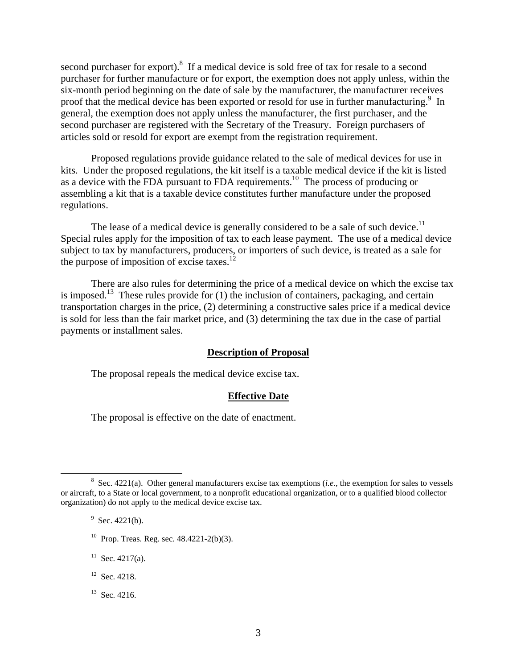second purchaser for export). $8$  If a medical device is sold free of tax for resale to a second purchaser for further manufacture or for export, the exemption does not apply unless, within the six-month period beginning on the date of sale by the manufacturer, the manufacturer receives proof that the medical device has been exported or resold for use in further manufacturing.<sup>9</sup> In general, the exemption does not apply unless the manufacturer, the first purchaser, and the second purchaser are registered with the Secretary of the Treasury. Foreign purchasers of articles sold or resold for export are exempt from the registration requirement.

Proposed regulations provide guidance related to the sale of medical devices for use in kits. Under the proposed regulations, the kit itself is a taxable medical device if the kit is listed as a device with the FDA pursuant to FDA requirements.10 The process of producing or assembling a kit that is a taxable device constitutes further manufacture under the proposed regulations.

The lease of a medical device is generally considered to be a sale of such device.<sup>11</sup> Special rules apply for the imposition of tax to each lease payment. The use of a medical device subject to tax by manufacturers, producers, or importers of such device, is treated as a sale for the purpose of imposition of excise taxes.<sup>12</sup>

There are also rules for determining the price of a medical device on which the excise tax is imposed.<sup>13</sup> These rules provide for  $(1)$  the inclusion of containers, packaging, and certain transportation charges in the price, (2) determining a constructive sales price if a medical device is sold for less than the fair market price, and (3) determining the tax due in the case of partial payments or installment sales.

#### **Description of Proposal**

The proposal repeals the medical device excise tax.

#### **Effective Date**

The proposal is effective on the date of enactment.

 $9$  Sec. 4221(b).

- $10$  Prop. Treas. Reg. sec. 48.4221-2(b)(3).
- $11$  Sec. 4217(a).
- <sup>12</sup> Sec. 4218.
- <sup>13</sup> Sec. 4216.

 $\frac{1}{8}$  $8\text{ Sec. } 4221(a)$ . Other general manufacturers excise tax exemptions (*i.e.*, the exemption for sales to vessels or aircraft, to a State or local government, to a nonprofit educational organization, or to a qualified blood collector organization) do not apply to the medical device excise tax.